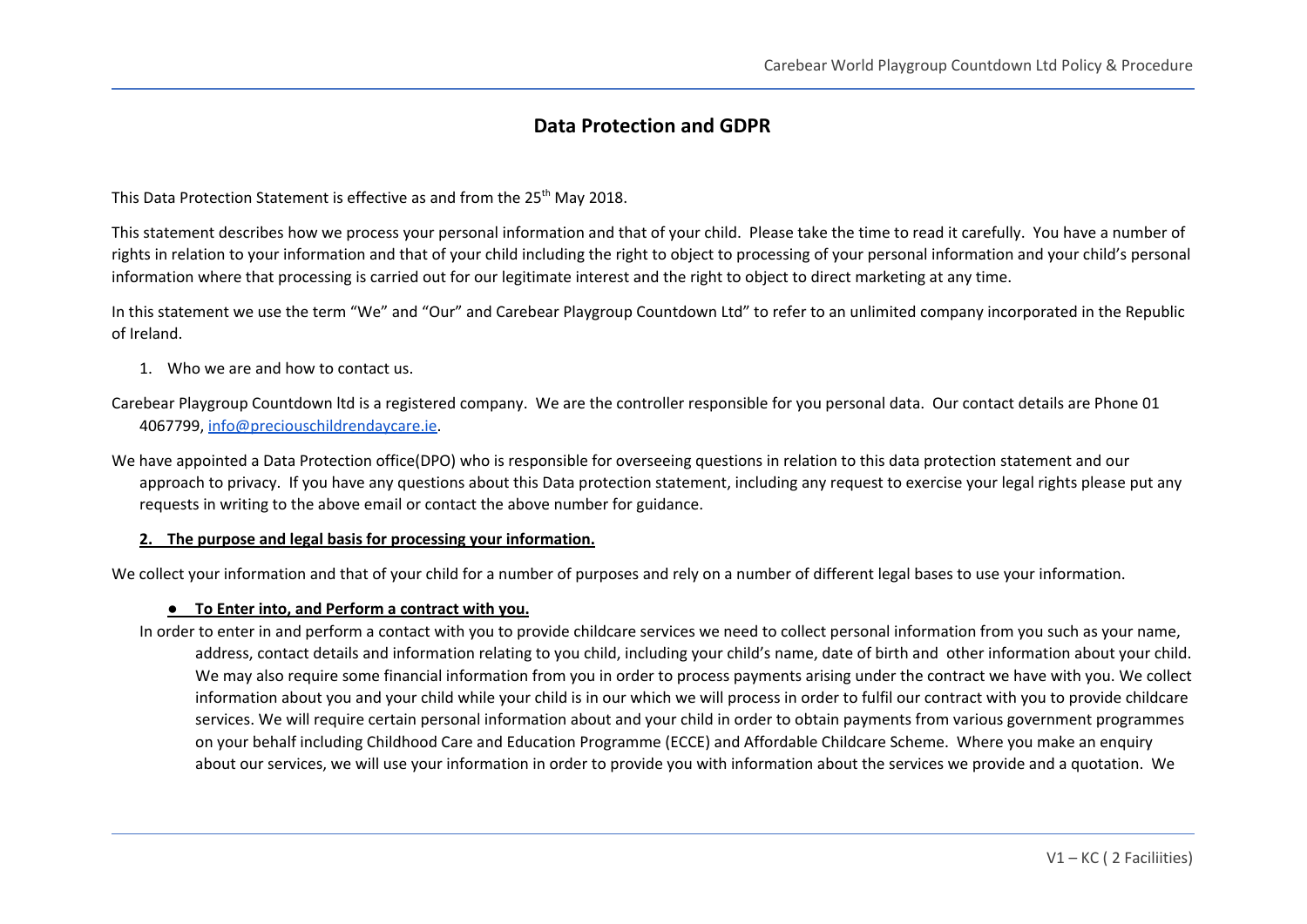# **Data Protection and GDPR**

This Data Protection Statement is effective as and from the 25<sup>th</sup> May 2018.

This statement describes how we process your personal information and that of your child. Please take the time to read it carefully. You have a number of rights in relation to your information and that of your child including the right to object to processing of your personal information and your child's personal information where that processing is carried out for our legitimate interest and the right to object to direct marketing at any time.

In this statement we use the term "We" and "Our" and Carebear Playgroup Countdown Ltd" to refer to an unlimited company incorporated in the Republic of Ireland.

- 1. Who we are and how to contact us.
- Carebear Playgroup Countdown ltd is a registered company. We are the controller responsible for you personal data. Our contact details are Phone 01 4067799, [info@preciouschildrendaycare.ie.](mailto:info@preciouschildrendaycare.ie)

We have appointed a Data Protection office(DPO) who is responsible for overseeing questions in relation to this data protection statement and our approach to privacy. If you have any questions about this Data protection statement, including any request to exercise your legal rights please put any requests in writing to the above email or contact the above number for guidance.

### **2. The purpose and legal basis for processing your information.**

We collect your information and that of your child for a number of purposes and rely on a number of different legal bases to use your information.

### **● To Enter into, and Perform a contract with you.**

In order to enter in and perform a contact with you to provide childcare services we need to collect personal information from you such as your name, address, contact details and information relating to you child, including your child's name, date of birth and other information about your child. We may also require some financial information from you in order to process payments arising under the contract we have with you. We collect information about you and your child while your child is in our which we will process in order to fulfil our contract with you to provide childcare services. We will require certain personal information about and your child in order to obtain payments from various government programmes on your behalf including Childhood Care and Education Programme (ECCE) and Affordable Childcare Scheme. Where you make an enquiry about our services, we will use your information in order to provide you with information about the services we provide and a quotation. We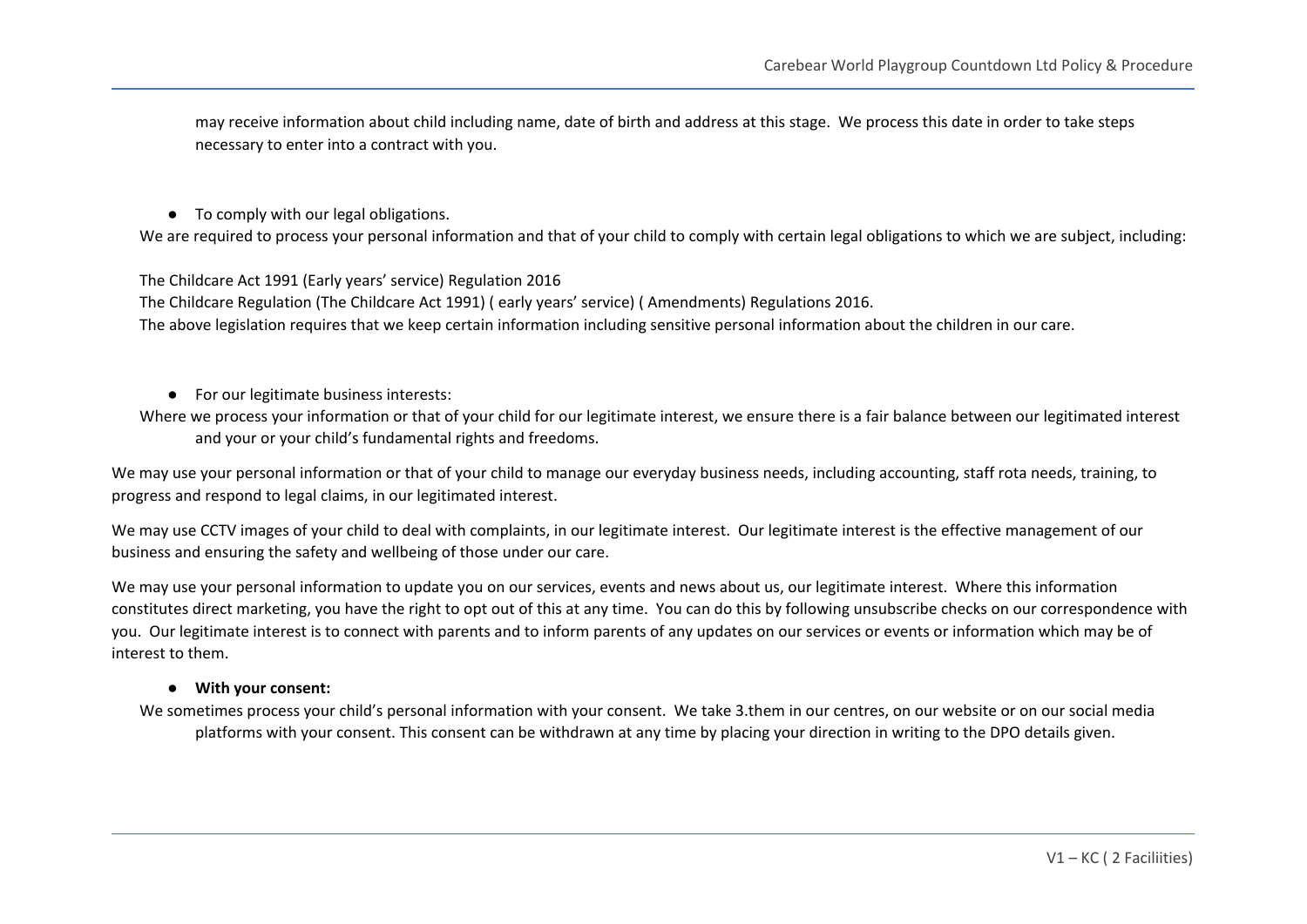may receive information about child including name, date of birth and address at this stage. We process this date in order to take steps necessary to enter into a contract with you.

### ● To comply with our legal obligations.

We are required to process your personal information and that of your child to comply with certain legal obligations to which we are subject, including:

The Childcare Act 1991 (Early years' service) Regulation 2016

The Childcare Regulation (The Childcare Act 1991) ( early years' service) ( Amendments) Regulations 2016. The above legislation requires that we keep certain information including sensitive personal information about the children in our care.

- For our legitimate business interests:
- Where we process your information or that of your child for our legitimate interest, we ensure there is a fair balance between our legitimated interest and your or your child's fundamental rights and freedoms.

We may use your personal information or that of your child to manage our everyday business needs, including accounting, staff rota needs, training, to progress and respond to legal claims, in our legitimated interest.

We may use CCTV images of your child to deal with complaints, in our legitimate interest. Our legitimate interest is the effective management of our business and ensuring the safety and wellbeing of those under our care.

We may use your personal information to update you on our services, events and news about us, our legitimate interest. Where this information constitutes direct marketing, you have the right to opt out of this at any time. You can do this by following unsubscribe checks on our correspondence with you. Our legitimate interest is to connect with parents and to inform parents of any updates on our services or events or information which may be of interest to them.

### **● With your consent:**

We sometimes process your child's personal information with your consent. We take 3.them in our centres, on our website or on our social media platforms with your consent. This consent can be withdrawn at any time by placing your direction in writing to the DPO details given.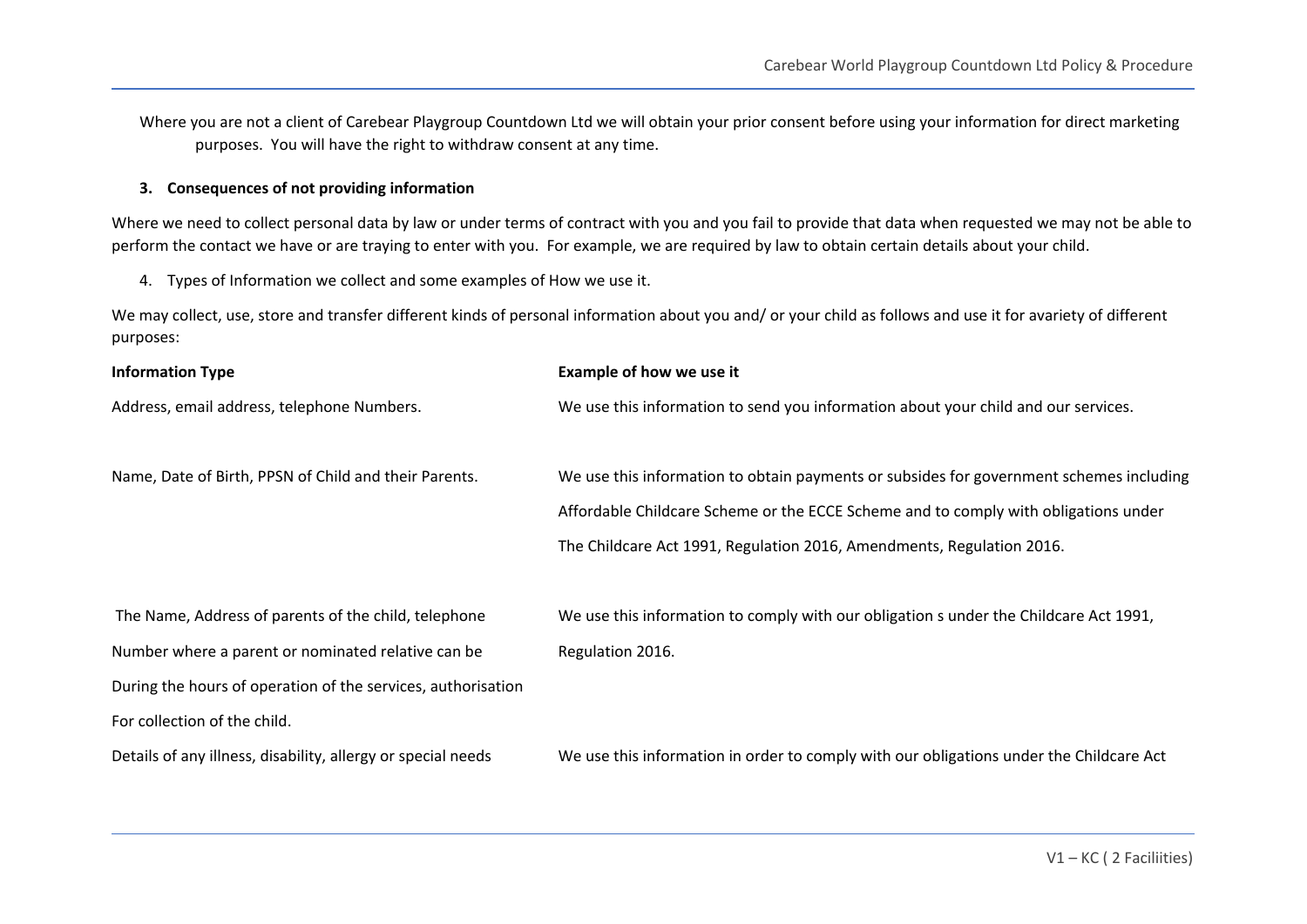Where you are not a client of Carebear Playgroup Countdown Ltd we will obtain your prior consent before using your information for direct marketing purposes. You will have the right to withdraw consent at any time.

### **3. Consequences of not providing information**

Where we need to collect personal data by law or under terms of contract with you and you fail to provide that data when requested we may not be able to perform the contact we have or are traying to enter with you. For example, we are required by law to obtain certain details about your child.

4. Types of Information we collect and some examples of How we use it.

We may collect, use, store and transfer different kinds of personal information about you and/ or your child as follows and use it for avariety of different purposes:

| <b>Information Type</b>                                      | Example of how we use it                                                                |
|--------------------------------------------------------------|-----------------------------------------------------------------------------------------|
| Address, email address, telephone Numbers.                   | We use this information to send you information about your child and our services.      |
| Name, Date of Birth, PPSN of Child and their Parents.        | We use this information to obtain payments or subsides for government schemes including |
|                                                              | Affordable Childcare Scheme or the ECCE Scheme and to comply with obligations under     |
|                                                              | The Childcare Act 1991, Regulation 2016, Amendments, Regulation 2016.                   |
|                                                              |                                                                                         |
| The Name, Address of parents of the child, telephone         | We use this information to comply with our obligation s under the Childcare Act 1991,   |
| Number where a parent or nominated relative can be           | Regulation 2016.                                                                        |
| During the hours of operation of the services, authorisation |                                                                                         |
| For collection of the child.                                 |                                                                                         |
| Details of any illness, disability, allergy or special needs | We use this information in order to comply with our obligations under the Childcare Act |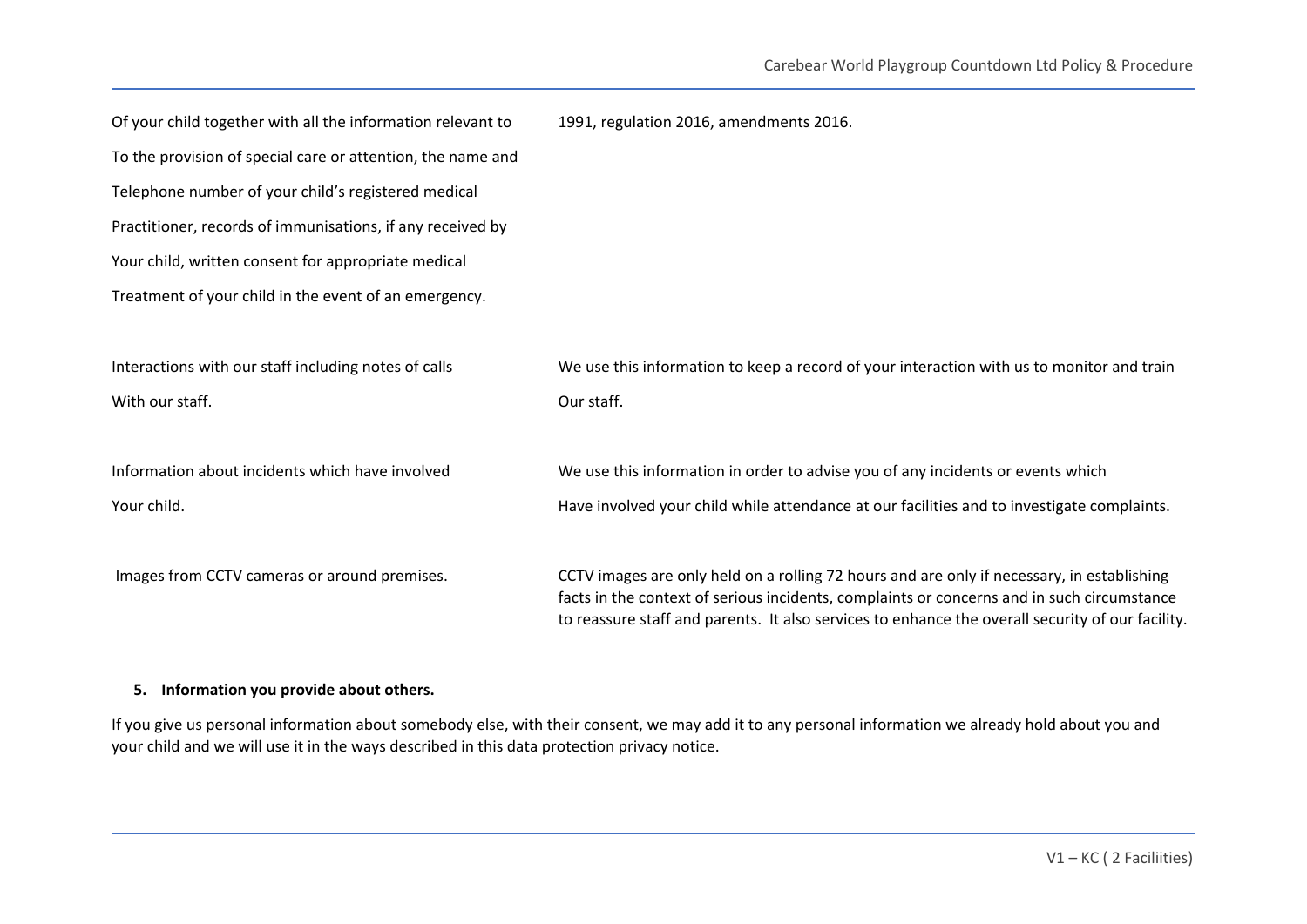| Of your child together with all the information relevant to | 1991, regulation 2016, amendments 2016.                                                                                                                                                                                                                                                      |
|-------------------------------------------------------------|----------------------------------------------------------------------------------------------------------------------------------------------------------------------------------------------------------------------------------------------------------------------------------------------|
| To the provision of special care or attention, the name and |                                                                                                                                                                                                                                                                                              |
| Telephone number of your child's registered medical         |                                                                                                                                                                                                                                                                                              |
| Practitioner, records of immunisations, if any received by  |                                                                                                                                                                                                                                                                                              |
| Your child, written consent for appropriate medical         |                                                                                                                                                                                                                                                                                              |
| Treatment of your child in the event of an emergency.       |                                                                                                                                                                                                                                                                                              |
|                                                             |                                                                                                                                                                                                                                                                                              |
| Interactions with our staff including notes of calls        | We use this information to keep a record of your interaction with us to monitor and train                                                                                                                                                                                                    |
| With our staff.                                             | Our staff.                                                                                                                                                                                                                                                                                   |
|                                                             |                                                                                                                                                                                                                                                                                              |
| Information about incidents which have involved             | We use this information in order to advise you of any incidents or events which                                                                                                                                                                                                              |
| Your child.                                                 | Have involved your child while attendance at our facilities and to investigate complaints.                                                                                                                                                                                                   |
|                                                             |                                                                                                                                                                                                                                                                                              |
| Images from CCTV cameras or around premises.                | CCTV images are only held on a rolling 72 hours and are only if necessary, in establishing<br>facts in the context of serious incidents, complaints or concerns and in such circumstance<br>to reassure staff and parents. It also services to enhance the overall security of our facility. |

## **5. Information you provide about others.**

If you give us personal information about somebody else, with their consent, we may add it to any personal information we already hold about you and your child and we will use it in the ways described in this data protection privacy notice.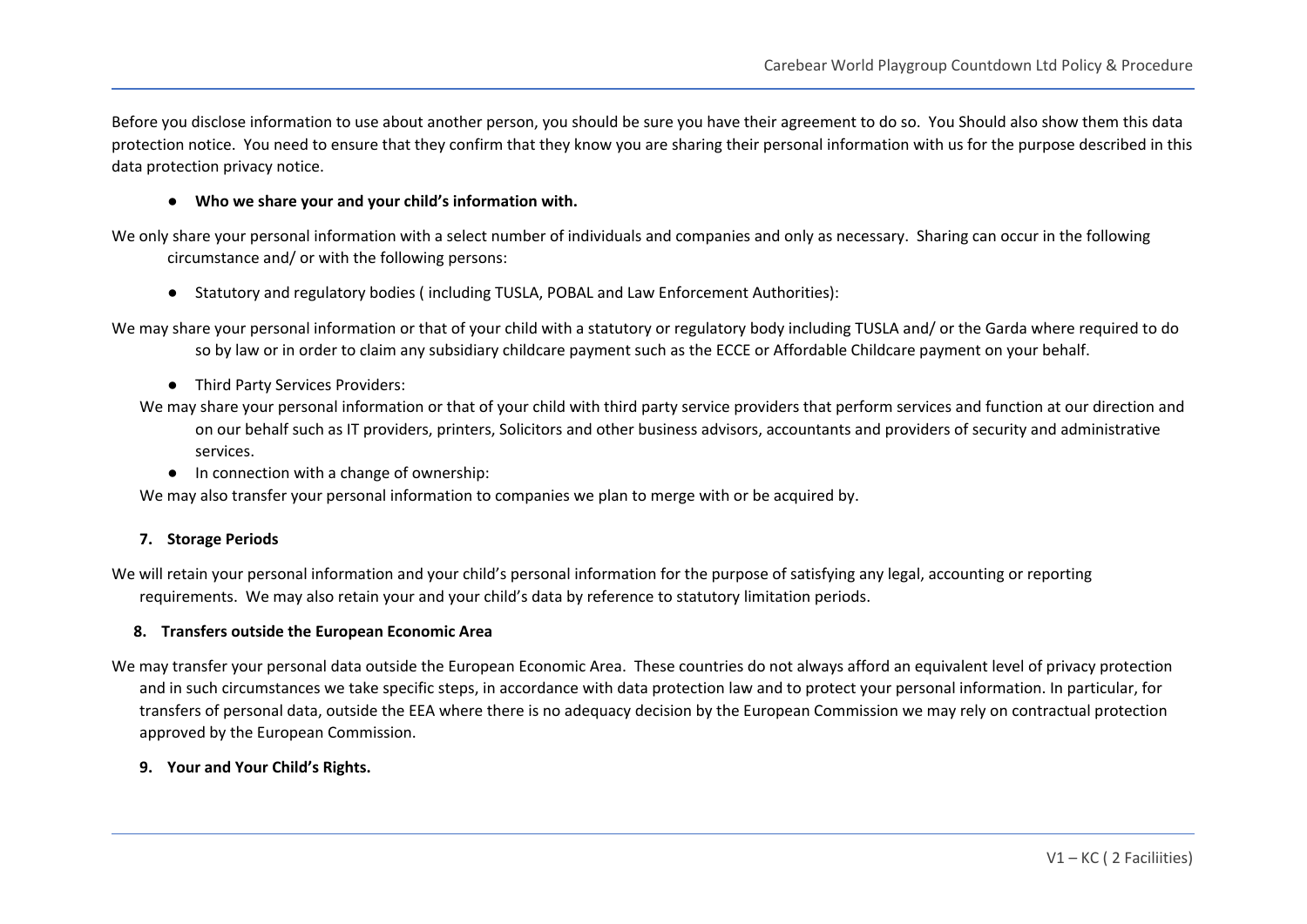Before you disclose information to use about another person, you should be sure you have their agreement to do so. You Should also show them this data protection notice. You need to ensure that they confirm that they know you are sharing their personal information with us for the purpose described in this data protection privacy notice.

### **● Who we share your and your child's information with.**

We only share your personal information with a select number of individuals and companies and only as necessary. Sharing can occur in the following circumstance and/ or with the following persons:

- Statutory and regulatory bodies ( including TUSLA, POBAL and Law Enforcement Authorities):
- We may share your personal information or that of your child with a statutory or regulatory body including TUSLA and/ or the Garda where required to do so by law or in order to claim any subsidiary childcare payment such as the ECCE or Affordable Childcare payment on your behalf.
	- Third Party Services Providers:
	- We may share your personal information or that of your child with third party service providers that perform services and function at our direction and on our behalf such as IT providers, printers, Solicitors and other business advisors, accountants and providers of security and administrative services.
		- In connection with a change of ownership:

We may also transfer your personal information to companies we plan to merge with or be acquired by.

### **7. Storage Periods**

We will retain your personal information and your child's personal information for the purpose of satisfying any legal, accounting or reporting requirements. We may also retain your and your child's data by reference to statutory limitation periods.

#### **8. Transfers outside the European Economic Area**

We may transfer your personal data outside the European Economic Area. These countries do not always afford an equivalent level of privacy protection and in such circumstances we take specific steps, in accordance with data protection law and to protect your personal information. In particular, for transfers of personal data, outside the EEA where there is no adequacy decision by the European Commission we may rely on contractual protection approved by the European Commission.

### **9. Your and Your Child's Rights.**